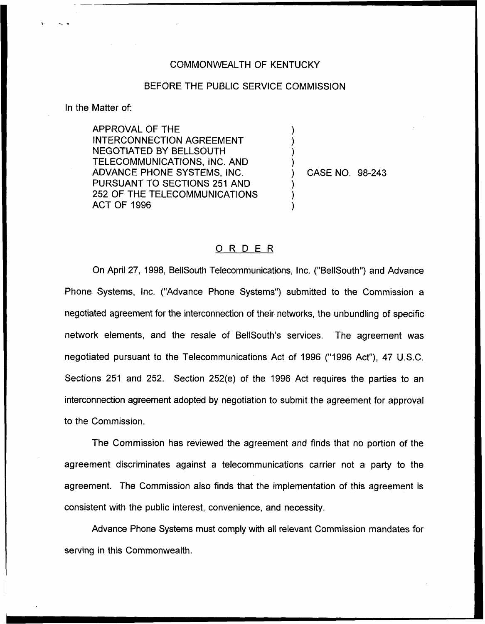## COMMONWEALTH OF KENTUCKY

## BEFORE THE PUBLIC SERVICE COMMISSION

) ) ) )

) ) )

In the Matter of:

APPROVAL OF THE INTERCONNECTION AGREEMENT NEGOTIATED BY BELLSOUTH TELECOMMUNICATIONS, INC. AND ADVANCE PHONE SYSTEMS, INC. PURSUANT TO SECTIONS 251 AND 252 OF THE TELECOMMUNICATIONS ACT OF 1996

) CASE NO. 98-243

## 0 <sup>R</sup> <sup>D</sup> <sup>E</sup> <sup>R</sup>

On April 27, 1998, BellSouth Telecommunications, Inc. ("BellSouth") and Advance Phone Systems, Inc. ("Advance Phone Systems") submitted to the Commission a negotiated agreement for the interconnection of their networks, the unbundling of specific network elements, and the resale of BellSouth's services. The agreement was negotiated pursuant to the Telecommunications Act of 1996 ("1996 Act"), 47 U.S.C. Sections 251 and 252. Section 252(e) of the 1996 Act requires the parties to an interconnection agreement adopted by negotiation to submit the agreement for approval to the Commission.

The Commission has reviewed the agreement and finds that no portion of the agreement discriminates against a telecommunications carrier not a party to the agreement. The Commission also finds that the implementation of this agreement is consistent with the public interest, convenience, and necessity.

Advance Phone Systems must comply with all relevant Commission mandates for serving in this Commonwealth.